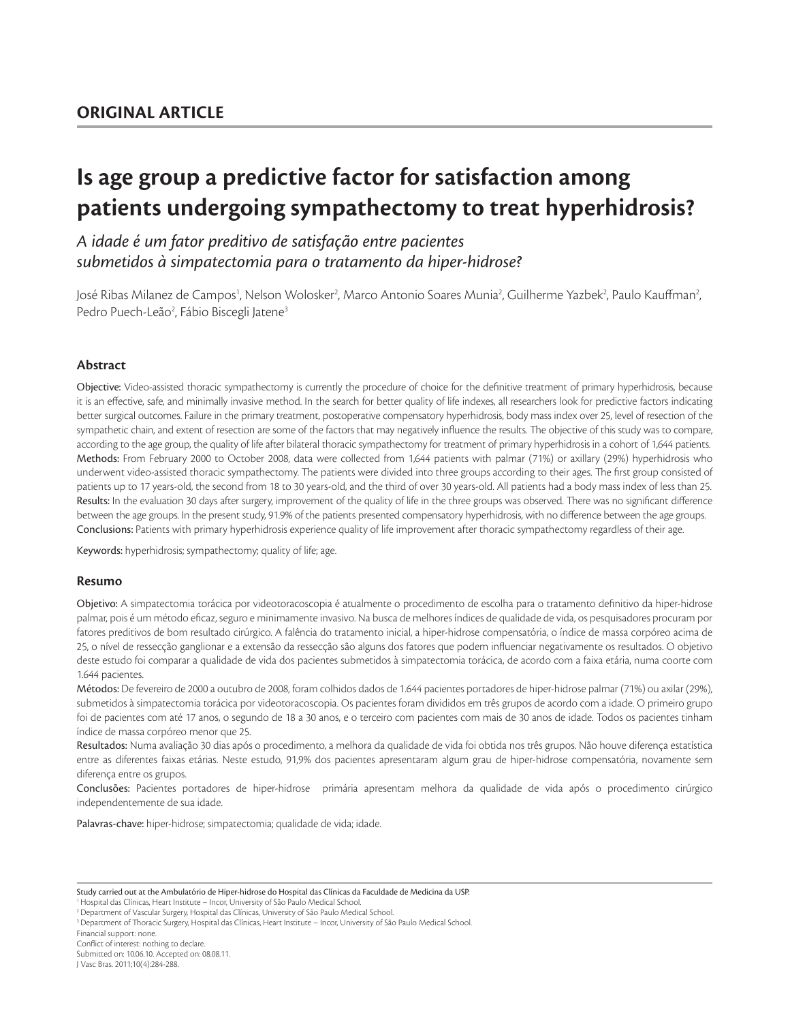# **Is age group a predictive factor for satisfaction among patients undergoing sympathectomy to treat hyperhidrosis?**

# *A idade é um fator preditivo de satisfação entre pacientes submetidos à simpatectomia para o tratamento da hiper-hidrose?*

José Ribas Milanez de Campos<sup>1</sup>, Nelson Wolosker<sup>2</sup>, Marco Antonio Soares Munia<sup>2</sup>, Guilherme Yazbek<sup>2</sup>, Paulo Kauffman<sup>2</sup>, Pedro Puech-Leão<sup>2</sup>, Fábio Biscegli Jatene<sup>3</sup>

# **Abstract**

Objective: Video-assisted thoracic sympathectomy is currently the procedure of choice for the definitive treatment of primary hyperhidrosis, because it is an effective, safe, and minimally invasive method. In the search for better quality of life indexes, all researchers look for predictive factors indicating better surgical outcomes. Failure in the primary treatment, postoperative compensatory hyperhidrosis, body mass index over 25, level of resection of the sympathetic chain, and extent of resection are some of the factors that may negatively influence the results. The objective of this study was to compare, according to the age group, the quality of life after bilateral thoracic sympathectomy for treatment of primary hyperhidrosis in a cohort of 1,644 patients. Methods: From February 2000 to October 2008, data were collected from 1,644 patients with palmar (71%) or axillary (29%) hyperhidrosis who underwent video-assisted thoracic sympathectomy. The patients were divided into three groups according to their ages. The first group consisted of patients up to 17 years-old, the second from 18 to 30 years-old, and the third of over 30 years-old. All patients had a body mass index of less than 25. Results: In the evaluation 30 days after surgery, improvement of the quality of life in the three groups was observed. There was no significant difference between the age groups. In the present study, 91.9% of the patients presented compensatory hyperhidrosis, with no difference between the age groups. Conclusions: Patients with primary hyperhidrosis experience quality of life improvement after thoracic sympathectomy regardless of their age.

Keywords: hyperhidrosis; sympathectomy; quality of life; age.

## **Resumo**

Objetivo: A simpatectomia torácica por videotoracoscopia é atualmente o procedimento de escolha para o tratamento definitivo da hiper-hidrose palmar, pois é um método eficaz, seguro e minimamente invasivo. Na busca de melhores índices de qualidade de vida, os pesquisadores procuram por fatores preditivos de bom resultado cirúrgico. A falência do tratamento inicial, a hiper-hidrose compensatória, o índice de massa corpóreo acima de 25, o nível de ressecção ganglionar e a extensão da ressecção são alguns dos fatores que podem influenciar negativamente os resultados. O objetivo deste estudo foi comparar a qualidade de vida dos pacientes submetidos à simpatectomia torácica, de acordo com a faixa etária, numa coorte com 1.644 pacientes.

Métodos: De fevereiro de 2000 a outubro de 2008, foram colhidos dados de 1.644 pacientes portadores de hiper-hidrose palmar (71%) ou axilar (29%), submetidos à simpatectomia torácica por videotoracoscopia. Os pacientes foram divididos em três grupos de acordo com a idade. O primeiro grupo foi de pacientes com até 17 anos, o segundo de 18 a 30 anos, e o terceiro com pacientes com mais de 30 anos de idade. Todos os pacientes tinham índice de massa corpóreo menor que 25.

Resultados: Numa avaliação 30 dias após o procedimento, a melhora da qualidade de vida foi obtida nos três grupos. Não houve diferença estatística entre as diferentes faixas etárias. Neste estudo, 91,9% dos pacientes apresentaram algum grau de hiper-hidrose compensatória, novamente sem diferença entre os grupos.

Conclusões: Pacientes portadores de hiper-hidrose primária apresentam melhora da qualidade de vida após o procedimento cirúrgico independentemente de sua idade.

Palavras-chave: hiper-hidrose; simpatectomia; qualidade de vida; idade.

<sup>1</sup> Hospital das Clínicas, Heart Institute – Incor, University of São Paulo Medical Schoo

Conflict of interest: nothing to declare. Submitted on: 10.06.10. Accepted on: 08.08.11.

J Vasc Bras. 2011;10(4):284-288.

Study carried out at the Ambulatório de Hiper-hidrose do Hospital das Clínicas da Faculdade de Medicina da USP.

<sup>&</sup>lt;sup>2</sup> Department of Vascular Surgery, Hospital das Clínicas, University of São Paulo Medical School.

<sup>3</sup>Department of Thoracic Surgery, Hospital das Clínicas, Heart Institute – Incor, University of São Paulo Medical School.

Financial support: none.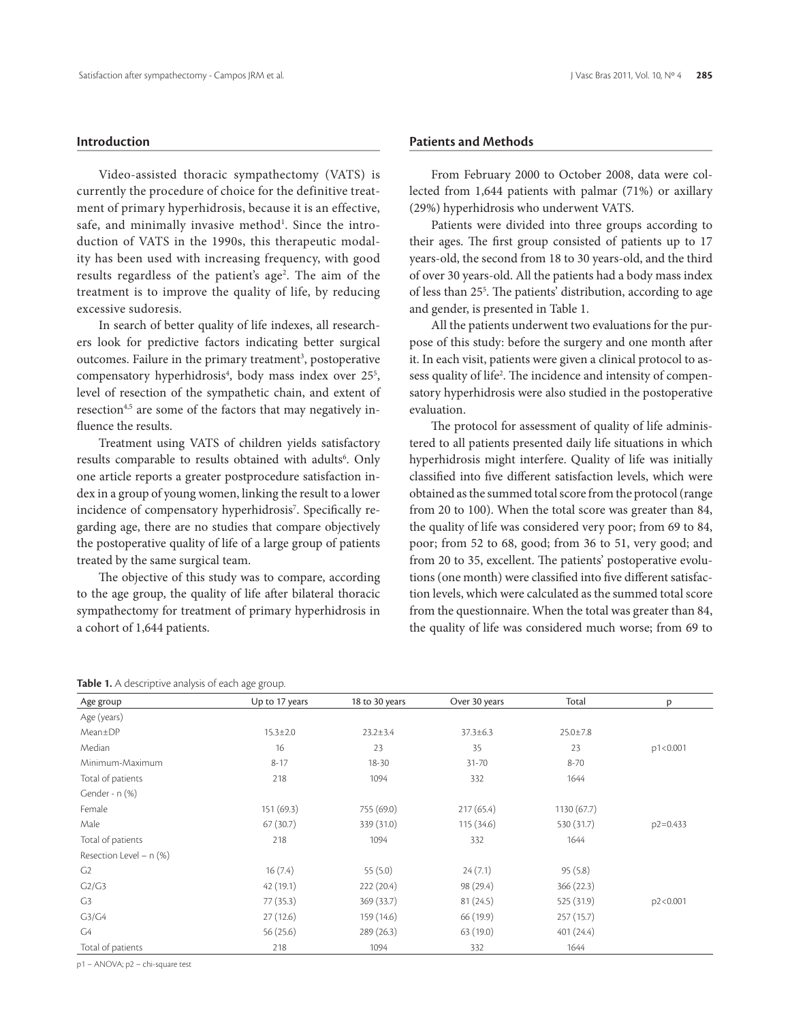# **Introduction**

Video-assisted thoracic sympathectomy (VATS) is currently the procedure of choice for the definitive treatment of primary hyperhidrosis, because it is an effective, safe, and minimally invasive method<sup>1</sup>. Since the introduction of VATS in the 1990s, this therapeutic modality has been used with increasing frequency, with good results regardless of the patient's age<sup>2</sup>. The aim of the treatment is to improve the quality of life, by reducing excessive sudoresis.

In search of better quality of life indexes, all researchers look for predictive factors indicating better surgical outcomes. Failure in the primary treatment<sup>3</sup>, postoperative compensatory hyperhidrosis<sup>4</sup>, body mass index over 25<sup>5</sup>, level of resection of the sympathetic chain, and extent of resection<sup>4,5</sup> are some of the factors that may negatively influence the results.

Treatment using VATS of children yields satisfactory results comparable to results obtained with adults<sup>6</sup>. Only one article reports a greater postprocedure satisfaction index in a group of young women, linking the result to a lower incidence of compensatory hyperhidrosis<sup>7</sup>. Specifically regarding age, there are no studies that compare objectively the postoperative quality of life of a large group of patients treated by the same surgical team.

The objective of this study was to compare, according to the age group, the quality of life after bilateral thoracic sympathectomy for treatment of primary hyperhidrosis in a cohort of 1,644 patients.

# **Patients and Methods**

From February 2000 to October 2008, data were collected from 1,644 patients with palmar (71%) or axillary (29%) hyperhidrosis who underwent VATS.

Patients were divided into three groups according to their ages. The first group consisted of patients up to 17 years-old, the second from 18 to 30 years-old, and the third of over 30 years-old. All the patients had a body mass index of less than 255 . The patients' distribution, according to age and gender, is presented in Table 1.

All the patients underwent two evaluations for the purpose of this study: before the surgery and one month after it. In each visit, patients were given a clinical protocol to assess quality of life2 . The incidence and intensity of compensatory hyperhidrosis were also studied in the postoperative evaluation.

The protocol for assessment of quality of life administered to all patients presented daily life situations in which hyperhidrosis might interfere. Quality of life was initially classified into five different satisfaction levels, which were obtained as the summed total score from the protocol (range from 20 to 100). When the total score was greater than 84, the quality of life was considered very poor; from 69 to 84, poor; from 52 to 68, good; from 36 to 51, very good; and from 20 to 35, excellent. The patients' postoperative evolutions (one month) were classified into five different satisfaction levels, which were calculated as the summed total score from the questionnaire. When the total was greater than 84, the quality of life was considered much worse; from 69 to

#### **Table 1.** A descriptive analysis of each age group.

| Age group                      | Up to 17 years | 18 to 30 years | Over 30 years  | Total          | p            |
|--------------------------------|----------------|----------------|----------------|----------------|--------------|
| Age (years)                    |                |                |                |                |              |
| Mean±DP                        | $15.3 \pm 2.0$ | $23.2 \pm 3.4$ | $37.3 \pm 6.3$ | $25.0 \pm 7.8$ |              |
| Median                         | 16             | 23             | 35             | 23             | p1<0.001     |
| Minimum-Maximum                | $8 - 17$       | $18 - 30$      | $31 - 70$      | $8 - 70$       |              |
| Total of patients              | 218            | 1094           | 332            | 1644           |              |
| Gender - $n$ $(\%)$            |                |                |                |                |              |
| Female                         | 151(69.3)      | 755 (69.0)     | 217(65.4)      | 1130(67.7)     |              |
| Male                           | 67(30.7)       | 339 (31.0)     | 115 (34.6)     | 530 (31.7)     | $p2 = 0.433$ |
| Total of patients              | 218            | 1094           | 332            | 1644           |              |
| Resection Level – $n$ (%)      |                |                |                |                |              |
| G <sub>2</sub>                 | 16(7.4)        | 55 $(5.0)$     | 24(7.1)        | 95(5.8)        |              |
| C <sub>2</sub> /C <sub>3</sub> | 42 (19.1)      | 222(20.4)      | 98 (29.4)      | 366(22.3)      |              |
| G <sub>3</sub>                 | 77 (35.3)      | 369 (33.7)     | 81(24.5)       | 525 (31.9)     | p2<0.001     |
| G3/G4                          | 27(12.6)       | 159 (14.6)     | 66 (19.9)      | 257(15.7)      |              |
| G4                             | 56(25.6)       | 289(26.3)      | 63(19.0)       | 401(24.4)      |              |
| Total of patients              | 218            | 1094           | 332            | 1644           |              |

p1 – ANOVA; p2 – chi-square test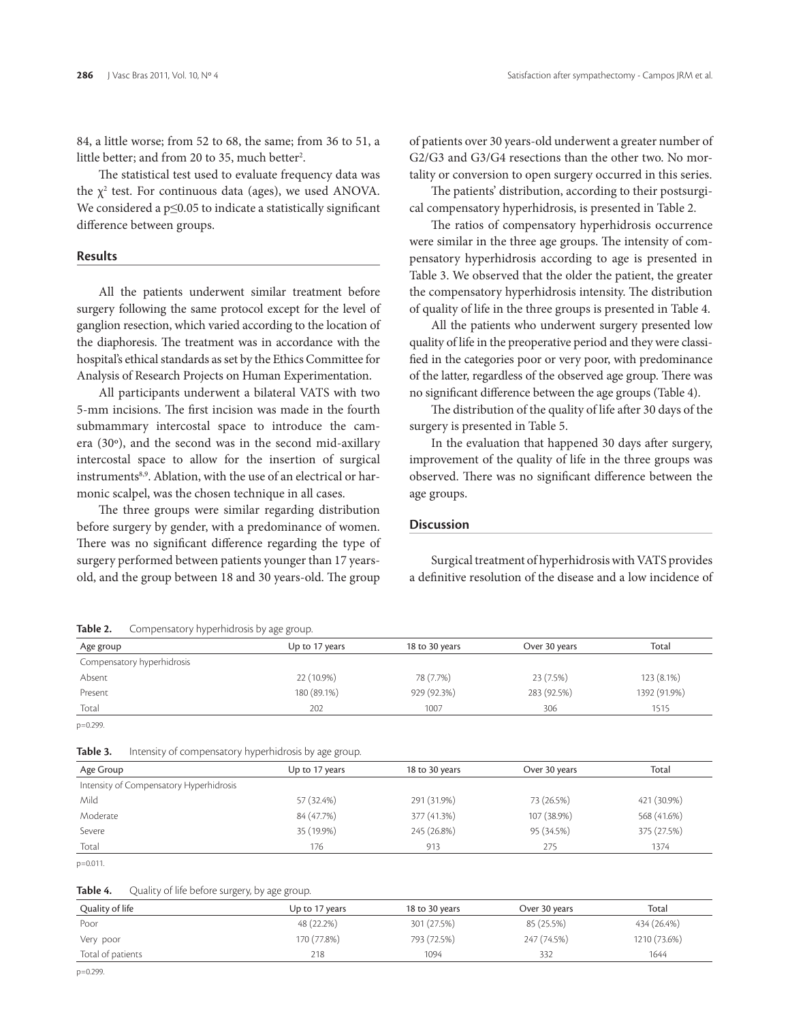84, a little worse; from 52 to 68, the same; from 36 to 51, a little better; and from 20 to 35, much better<sup>2</sup>.

The statistical test used to evaluate frequency data was the  $\chi^2$  test. For continuous data (ages), we used ANOVA. We considered a p≤0.05 to indicate a statistically significant difference between groups.

#### **Results**

All the patients underwent similar treatment before surgery following the same protocol except for the level of ganglion resection, which varied according to the location of the diaphoresis. The treatment was in accordance with the hospital's ethical standards as set by the Ethics Committee for Analysis of Research Projects on Human Experimentation.

All participants underwent a bilateral VATS with two 5-mm incisions. The first incision was made in the fourth submammary intercostal space to introduce the camera (30º), and the second was in the second mid-axillary intercostal space to allow for the insertion of surgical instruments<sup>8,9</sup>. Ablation, with the use of an electrical or harmonic scalpel, was the chosen technique in all cases.

The three groups were similar regarding distribution before surgery by gender, with a predominance of women. There was no significant difference regarding the type of surgery performed between patients younger than 17 yearsold, and the group between 18 and 30 years-old. The group

#### **Table 2.** Compensatory hyperhidrosis by age group.

of patients over 30 years-old underwent a greater number of G2/G3 and G3/G4 resections than the other two. No mortality or conversion to open surgery occurred in this series.

The patients' distribution, according to their postsurgical compensatory hyperhidrosis, is presented in Table 2.

The ratios of compensatory hyperhidrosis occurrence were similar in the three age groups. The intensity of compensatory hyperhidrosis according to age is presented in Table 3. We observed that the older the patient, the greater the compensatory hyperhidrosis intensity. The distribution of quality of life in the three groups is presented in Table 4.

All the patients who underwent surgery presented low quality of life in the preoperative period and they were classified in the categories poor or very poor, with predominance of the latter, regardless of the observed age group. There was no significant difference between the age groups (Table 4).

The distribution of the quality of life after 30 days of the surgery is presented in Table 5.

In the evaluation that happened 30 days after surgery, improvement of the quality of life in the three groups was observed. There was no significant difference between the age groups.

#### **Discussion**

Surgical treatment of hyperhidrosis with VATS provides a definitive resolution of the disease and a low incidence of

| Age group                  | Up to 17 years | 18 to 30 years | Over 30 years | Total        |
|----------------------------|----------------|----------------|---------------|--------------|
| Compensatory hyperhidrosis |                |                |               |              |
| Absent                     | 22 (10.9%)     | 78 (7.7%)      | 23 (7.5%)     | 123 (8.1%)   |
| Present                    | 180 (89.1%)    | 929 (92.3%)    | 283 (92.5%)   | 1392 (91.9%) |
| Total                      | 202            | 1007           | 306           | 1515         |

**Table 3.** Intensity of compensatory hyperhidrosis by age group.

| Age Group                               | Up to 17 years | 18 to 30 years | Over 30 years | Total       |
|-----------------------------------------|----------------|----------------|---------------|-------------|
| Intensity of Compensatory Hyperhidrosis |                |                |               |             |
| Mild                                    | 57 (32.4%)     | 291 (31.9%)    | 73 (26.5%)    | 421 (30.9%) |
| Moderate                                | 84 (47.7%)     | 377 (41.3%)    | 107 (38.9%)   | 568 (41.6%) |
| Severe                                  | 35 (19.9%)     | 245 (26.8%)    | 95 (34.5%)    | 375 (27.5%) |
| Total                                   | 176            | 913            | 275           | 1374        |

Table 4. Quality of life before surgery, by age group.

| Quality of life   | Up to 17 years | 18 to 30 years | Over 30 years | Total        |
|-------------------|----------------|----------------|---------------|--------------|
| Poor              | 48 (22.2%)     | 301 (27.5%)    | 85 (25.5%)    | 434 (26.4%)  |
| Very poor         | 170 (77.8%)    | 793 (72.5%)    | 247 (74.5%)   | 1210 (73.6%) |
| Total of patients | 218            | 1094           | 332           | 1644         |

p=0.299.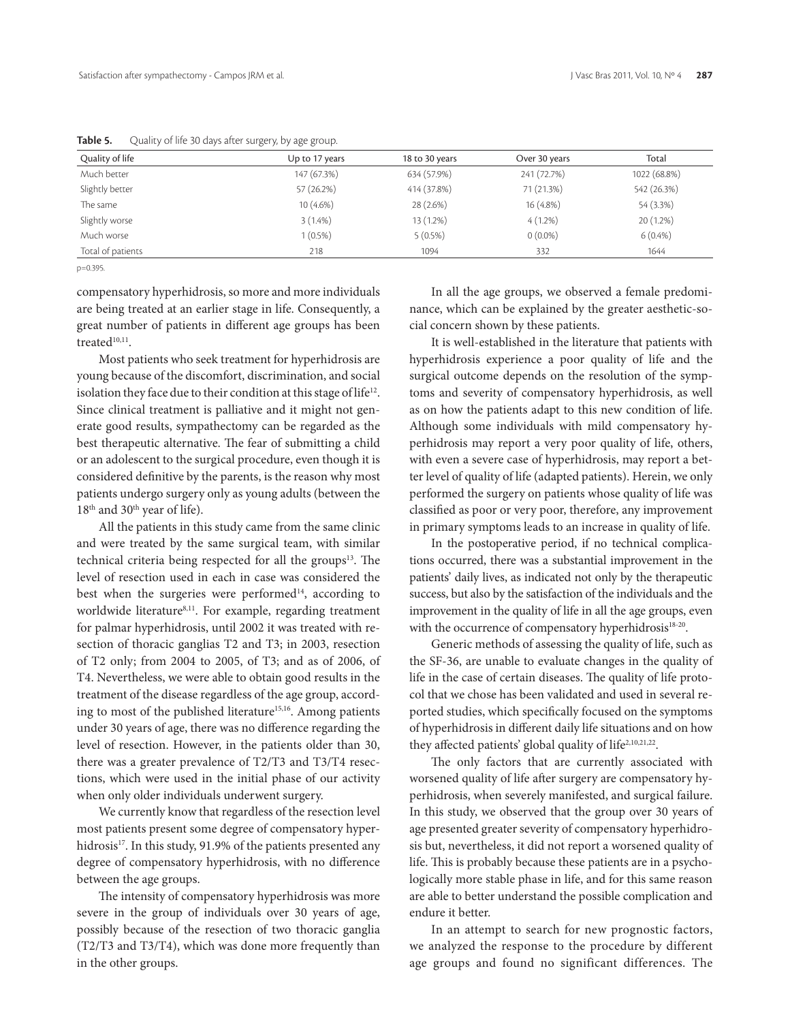| Quality of life   | Up to 17 years | 18 to 30 years | Over 30 years | Total        |
|-------------------|----------------|----------------|---------------|--------------|
| Much better       | 147 (67.3%)    | 634 (57.9%)    | 241 (72.7%)   | 1022 (68.8%) |
| Slightly better   | 57 (26.2%)     | 414 (37.8%)    | 71 (21.3%)    | 542 (26.3%)  |
| The same          | 10 (4.6%)      | 28 (2.6%)      | 16 (4.8%)     | 54 (3.3%)    |
| Slightly worse    | $3(1.4\%)$     | 13 (1.2%)      | $4(1.2\%)$    | 20 (1.2%)    |
| Much worse        | $1(0.5\%)$     | $5(0.5\%)$     | $0(0.0\%)$    | 6(0.4% )     |
| Total of patients | 218            | 1094           | 332           | 1644         |

Table 5. Quality of life 30 days after surgery, by age group.

p=0.395.

compensatory hyperhidrosis, so more and more individuals are being treated at an earlier stage in life. Consequently, a great number of patients in different age groups has been treated<sup>10,11</sup>.

Most patients who seek treatment for hyperhidrosis are young because of the discomfort, discrimination, and social isolation they face due to their condition at this stage of life<sup>12</sup>. Since clinical treatment is palliative and it might not generate good results, sympathectomy can be regarded as the best therapeutic alternative. The fear of submitting a child or an adolescent to the surgical procedure, even though it is considered definitive by the parents, is the reason why most patients undergo surgery only as young adults (between the 18<sup>th</sup> and 30<sup>th</sup> year of life).

All the patients in this study came from the same clinic and were treated by the same surgical team, with similar technical criteria being respected for all the groups $13$ . The level of resection used in each in case was considered the best when the surgeries were performed<sup>14</sup>, according to worldwide literature<sup>8,11</sup>. For example, regarding treatment for palmar hyperhidrosis, until 2002 it was treated with resection of thoracic ganglias T2 and T3; in 2003, resection of T2 only; from 2004 to 2005, of T3; and as of 2006, of T4. Nevertheless, we were able to obtain good results in the treatment of the disease regardless of the age group, according to most of the published literature<sup>15,16</sup>. Among patients under 30 years of age, there was no difference regarding the level of resection. However, in the patients older than 30, there was a greater prevalence of T2/T3 and T3/T4 resections, which were used in the initial phase of our activity when only older individuals underwent surgery.

We currently know that regardless of the resection level most patients present some degree of compensatory hyperhidrosis<sup>17</sup>. In this study, 91.9% of the patients presented any degree of compensatory hyperhidrosis, with no difference between the age groups.

The intensity of compensatory hyperhidrosis was more severe in the group of individuals over 30 years of age, possibly because of the resection of two thoracic ganglia (T2/T3 and T3/T4), which was done more frequently than in the other groups.

In all the age groups, we observed a female predominance, which can be explained by the greater aesthetic-social concern shown by these patients.

It is well-established in the literature that patients with hyperhidrosis experience a poor quality of life and the surgical outcome depends on the resolution of the symptoms and severity of compensatory hyperhidrosis, as well as on how the patients adapt to this new condition of life. Although some individuals with mild compensatory hyperhidrosis may report a very poor quality of life, others, with even a severe case of hyperhidrosis, may report a better level of quality of life (adapted patients). Herein, we only performed the surgery on patients whose quality of life was classified as poor or very poor, therefore, any improvement in primary symptoms leads to an increase in quality of life.

In the postoperative period, if no technical complications occurred, there was a substantial improvement in the patients' daily lives, as indicated not only by the therapeutic success, but also by the satisfaction of the individuals and the improvement in the quality of life in all the age groups, even with the occurrence of compensatory hyperhidrosis<sup>18-20</sup>.

Generic methods of assessing the quality of life, such as the SF-36, are unable to evaluate changes in the quality of life in the case of certain diseases. The quality of life protocol that we chose has been validated and used in several reported studies, which specifically focused on the symptoms of hyperhidrosis in different daily life situations and on how they affected patients' global quality of life<sup>2,10,21,22</sup>.

The only factors that are currently associated with worsened quality of life after surgery are compensatory hyperhidrosis, when severely manifested, and surgical failure. In this study, we observed that the group over 30 years of age presented greater severity of compensatory hyperhidrosis but, nevertheless, it did not report a worsened quality of life. This is probably because these patients are in a psychologically more stable phase in life, and for this same reason are able to better understand the possible complication and endure it better.

In an attempt to search for new prognostic factors, we analyzed the response to the procedure by different age groups and found no significant differences. The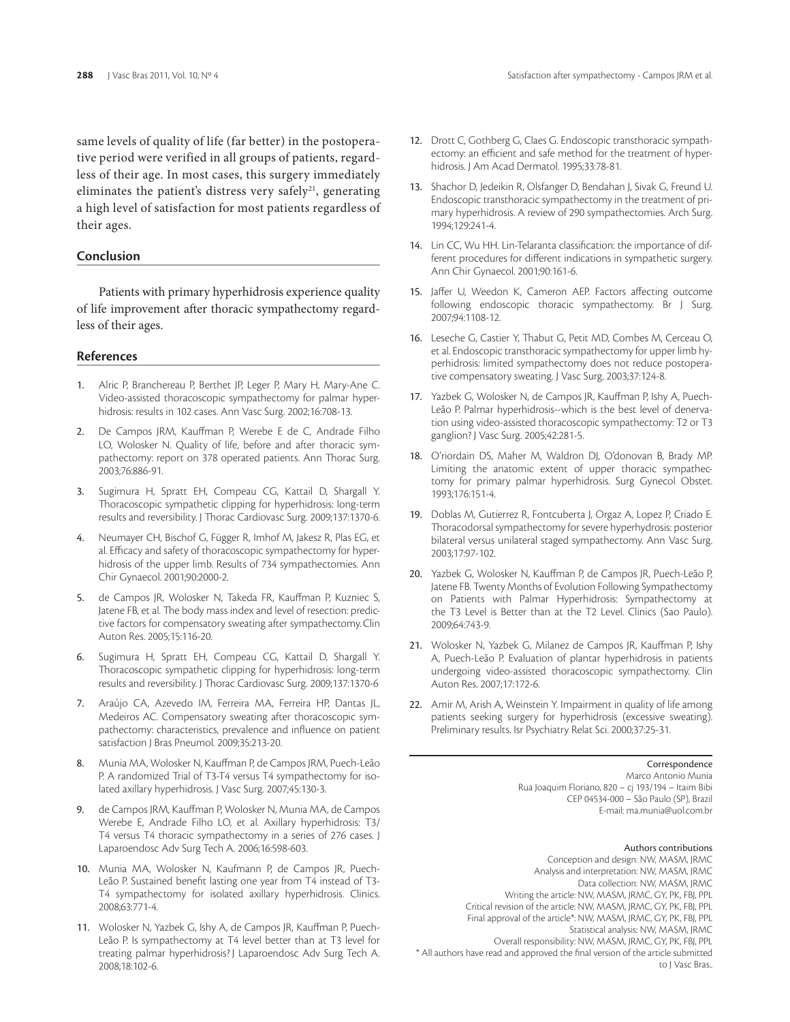same levels of quality of life (far better) in the postoperative period were verified in all groups of patients, regardless of their age. In most cases, this surgery immediately eliminates the patient's distress very safely<sup>21</sup>, generating a high level of satisfaction for most patients regardless of their ages.

# **Conclusion**

Patients with primary hyperhidrosis experience quality of life improvement after thoracic sympathectomy regardless of their ages.

#### **References**

- 1. Alric P, Branchereau P, Berthet JP, Leger P, Mary H, Mary-Ane C. Video-assisted thoracoscopic sympathectomy for palmar hyperhidrosis: results in 102 cases. Ann Vasc Surg. 2002;16:708-13.
- 2. De Campos JRM, Kauffman P, Werebe E de C, Andrade Filho LO, Wolosker N. Quality of life, before and after thoracic sympathectomy: report on 378 operated patients. Ann Thorac Surg. 2003;76:886-91.
- 3. Sugimura H, Spratt EH, Compeau CG, Kattail D, Shargall Y. Thoracoscopic sympathetic clipping for hyperhidrosis: long-term results and reversibility. J Thorac Cardiovasc Surg. 2009;137:1370-6.
- 4. Neumayer CH, Bischof G, Függer R, Imhof M, Jakesz R, Plas EG, et al. Efficacy and safety of thoracoscopic sympathectomy for hyperhidrosis of the upper limb. Results of 734 sympathectomies. Ann Chir Gynaecol. 2001;90:2000-2.
- 5. de Campos JR, Wolosker N, Takeda FR, Kauffman P, Kuzniec S, Jatene FB, et al. The body mass index and level of resection: predictive factors for compensatory sweating after sympathectomy.Clin Auton Res. 2005;15:116-20.
- Sugimura H, Spratt EH, Compeau CG, Kattail D, Shargall Y. Thoracoscopic sympathetic clipping for hyperhidrosis: long-term results and reversibility. J Thorac Cardiovasc Surg. 2009;137:1370-6
- 7. Araújo CA, Azevedo IM, Ferreira MA, Ferreira HP, Dantas JL, Medeiros AC. Compensatory sweating after thoracoscopic sympathectomy: characteristics, prevalence and influence on patient satisfaction J Bras Pneumol. 2009;35:213-20.
- 8. Munia MA, Wolosker N, Kauffman P, de Campos JRM, Puech-Leão P. A randomized Trial of T3-T4 versus T4 sympathectomy for isolated axillary hyperhidrosis. J Vasc Surg. 2007;45:130-3.
- 9. de Campos JRM, Kauffman P, Wolosker N, Munia MA, de Campos Werebe E, Andrade Filho LO, et al. Axillary hyperhidrosis: T3/ T4 versus T4 thoracic sympathectomy in a series of 276 cases. J Laparoendosc Adv Surg Tech A. 2006;16:598-603.
- 10. Munia MA, Wolosker N, Kaufmann P, de Campos JR, Puech-Leão P. Sustained benefit lasting one year from T4 instead of T3- T4 sympathectomy for isolated axillary hyperhidrosis. Clinics. 2008;63:771-4.
- 11. Wolosker N, Yazbek G, Ishy A, de Campos JR, Kauffman P, Puech-Leão P. Is sympathectomy at T4 level better than at T3 level for treating palmar hyperhidrosis? J Laparoendosc Adv Surg Tech A. 2008;18:102-6.
- 12. Drott C, Gothberg G, Claes G. Endoscopic transthoracic sympathectomy: an efficient and safe method for the treatment of hyperhidrosis. J Am Acad Dermatol. 1995;33:78-81.
- 13. Shachor D, Jedeikin R, Olsfanger D, Bendahan J, Sivak G, Freund U. Endoscopic transthoracic sympathectomy in the treatment of primary hyperhidrosis. A review of 290 sympathectomies. Arch Surg. 1994;129:241-4.
- 14. Lin CC, Wu HH. Lin-Telaranta classification: the importance of different procedures for different indications in sympathetic surgery. Ann Chir Gynaecol. 2001;90:161-6.
- 15. Jaffer U, Weedon K, Cameron AEP. Factors affecting outcome following endoscopic thoracic sympathectomy. Br J Surg. 2007;94:1108-12.
- 16. Leseche G, Castier Y, Thabut G, Petit MD, Combes M, Cerceau O, et al. Endoscopic transthoracic sympathectomy for upper limb hyperhidrosis: limited sympathectomy does not reduce postoperative compensatory sweating. J Vasc Surg. 2003;37:124-8.
- 17. Yazbek G, Wolosker N, de Campos JR, Kauffman P, Ishy A, Puech-Leão P. Palmar hyperhidrosis--which is the best level of denervation using video-assisted thoracoscopic sympathectomy: T2 or T3 ganglion? J Vasc Surg. 2005;42:281-5.
- 18. O'riordain DS, Maher M, Waldron DJ, O'donovan B, Brady MP. Limiting the anatomic extent of upper thoracic sympathectomy for primary palmar hyperhidrosis. Surg Gynecol Obstet. 1993;176:151-4.
- 19. Doblas M, Gutierrez R, Fontcuberta J, Orgaz A, Lopez P, Criado E. Thoracodorsal sympathectomy for severe hyperhydrosis: posterior bilateral versus unilateral staged sympathectomy. Ann Vasc Surg. 2003;17:97-102.
- 20. Yazbek G, Wolosker N, Kauffman P, de Campos JR, Puech-Leão P, Jatene FB. Twenty Months of Evolution Following Sympathectomy on Patients with Palmar Hyperhidrosis: Sympathectomy at the T3 Level is Better than at the T2 Level. Clinics (Sao Paulo). 2009;64:743-9.
- 21. Wolosker N, Yazbek G, Milanez de Campos JR, Kauffman P, Ishy A, Puech-Leão P. Evaluation of plantar hyperhidrosis in patients undergoing video-assisted thoracoscopic sympathectomy. Clin Auton Res. 2007;17:172-6.
- 22. Amir M, Arish A, Weinstein Y. Impairment in quality of life among patients seeking surgery for hyperhidrosis (excessive sweating). Preliminary results. Isr Psychiatry Relat Sci. 2000;37:25-31.

Correspondence Marco Antonio Munia Rua Joaquim Floriano, 820 – cj 193/194 – Itaim Bibi CEP 04534-000 – São Paulo (SP), Brazil E-mail: ma.munia@uol.com.br

#### Authors contributions

Conception and design: NW, MASM, JRMC Analysis and interpretation: NW, MASM, JRMC Data collection: NW, MASM, JRMC Writing the article: NW, MASM, JRMC, GY, PK, FBJ, PPL Critical revision of the article: NW, MASM, JRMC, GY, PK, FBJ, PPL Final approval of the article\*: NW, MASM, JRMC, GY, PK, FBJ, PPL Statistical analysis: NW, MASM, JRMC Overall responsibility: NW, MASM, JRMC, GY, PK, FBJ, PPL \* All authors have read and approved the final version of the article submitted to J Vasc Bras..